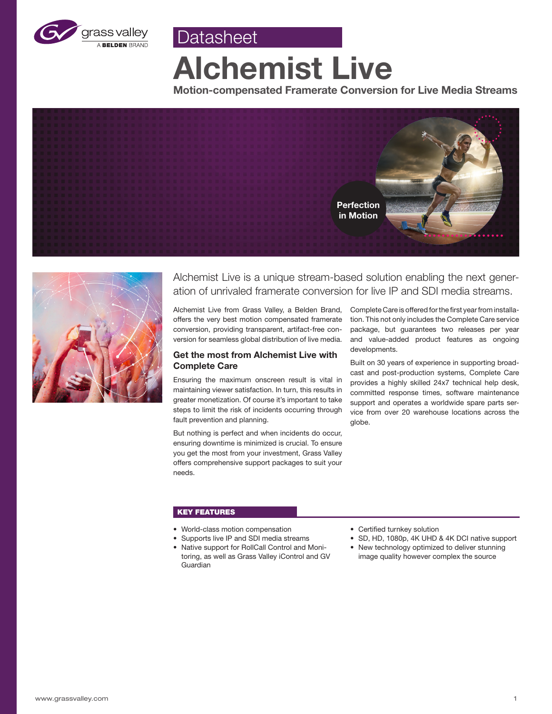

**Alchemist Live**

**Datasheet** 

**Motion-compensated Framerate Conversion for Live Media Streams**





Alchemist Live is a unique stream-based solution enabling the next generation of unrivaled framerate conversion for live IP and SDI media streams.

Alchemist Live from Grass Valley, a Belden Brand, offers the very best motion compensated framerate conversion, providing transparent, artifact-free conversion for seamless global distribution of live media.

# **Get the most from Alchemist Live with Complete Care**

Ensuring the maximum onscreen result is vital in maintaining viewer satisfaction. In turn, this results in greater monetization. Of course it's important to take steps to limit the risk of incidents occurring through fault prevention and planning.

But nothing is perfect and when incidents do occur, ensuring downtime is minimized is crucial. To ensure you get the most from your investment, Grass Valley offers comprehensive support packages to suit your needs.

Complete Care is offered for the first year from installation. This not only includes the Complete Care service package, but guarantees two releases per year and value-added product features as ongoing developments.

Built on 30 years of experience in supporting broadcast and post-production systems, Complete Care provides a highly skilled 24x7 technical help desk, committed response times, software maintenance support and operates a worldwide spare parts service from over 20 warehouse locations across the globe.

# KEY FEATURES

- World-class motion compensation
- Supports live IP and SDI media streams
- Native support for RollCall Control and Monitoring, as well as Grass Valley iControl and GV Guardian
- Certified turnkey solution
- SD, HD, 1080p, 4K UHD & 4K DCI native support
- New technology optimized to deliver stunning image quality however complex the source